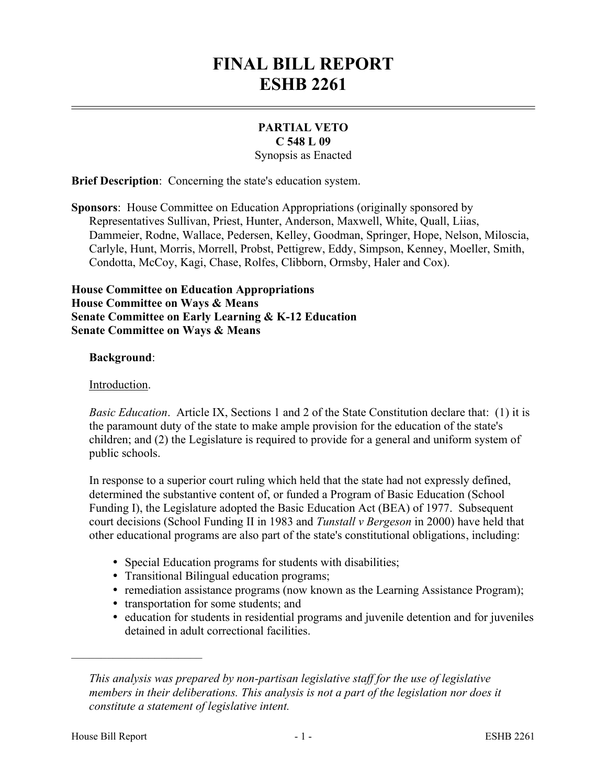# **FINAL BILL REPORT ESHB 2261**

# **PARTIAL VETO C 548 L 09**

Synopsis as Enacted

**Brief Description**: Concerning the state's education system.

**Sponsors**: House Committee on Education Appropriations (originally sponsored by Representatives Sullivan, Priest, Hunter, Anderson, Maxwell, White, Quall, Liias, Dammeier, Rodne, Wallace, Pedersen, Kelley, Goodman, Springer, Hope, Nelson, Miloscia, Carlyle, Hunt, Morris, Morrell, Probst, Pettigrew, Eddy, Simpson, Kenney, Moeller, Smith, Condotta, McCoy, Kagi, Chase, Rolfes, Clibborn, Ormsby, Haler and Cox).

### **House Committee on Education Appropriations House Committee on Ways & Means Senate Committee on Early Learning & K-12 Education Senate Committee on Ways & Means**

#### **Background**:

### Introduction.

*Basic Education*. Article IX, Sections 1 and 2 of the State Constitution declare that: (1) it is the paramount duty of the state to make ample provision for the education of the state's children; and (2) the Legislature is required to provide for a general and uniform system of public schools.

In response to a superior court ruling which held that the state had not expressly defined, determined the substantive content of, or funded a Program of Basic Education (School Funding I), the Legislature adopted the Basic Education Act (BEA) of 1977. Subsequent court decisions (School Funding II in 1983 and *Tunstall v Bergeson* in 2000) have held that other educational programs are also part of the state's constitutional obligations, including:

- Special Education programs for students with disabilities;
- � Transitional Bilingual education programs;
- remediation assistance programs (now known as the Learning Assistance Program);
- � transportation for some students; and
- � education for students in residential programs and juvenile detention and for juveniles detained in adult correctional facilities.

––––––––––––––––––––––

*This analysis was prepared by non-partisan legislative staff for the use of legislative members in their deliberations. This analysis is not a part of the legislation nor does it constitute a statement of legislative intent.*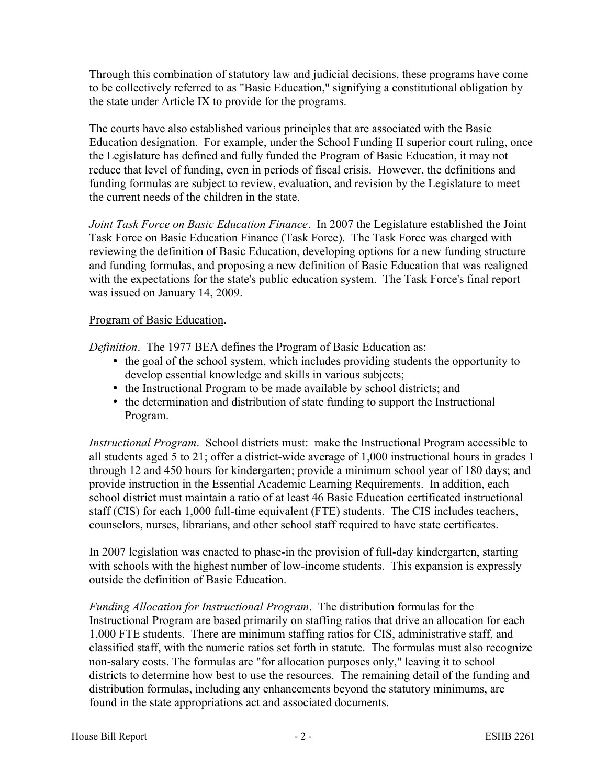Through this combination of statutory law and judicial decisions, these programs have come to be collectively referred to as "Basic Education," signifying a constitutional obligation by the state under Article IX to provide for the programs.

The courts have also established various principles that are associated with the Basic Education designation. For example, under the School Funding II superior court ruling, once the Legislature has defined and fully funded the Program of Basic Education, it may not reduce that level of funding, even in periods of fiscal crisis. However, the definitions and funding formulas are subject to review, evaluation, and revision by the Legislature to meet the current needs of the children in the state.

*Joint Task Force on Basic Education Finance*. In 2007 the Legislature established the Joint Task Force on Basic Education Finance (Task Force). The Task Force was charged with reviewing the definition of Basic Education, developing options for a new funding structure and funding formulas, and proposing a new definition of Basic Education that was realigned with the expectations for the state's public education system. The Task Force's final report was issued on January 14, 2009.

### Program of Basic Education.

*Definition*. The 1977 BEA defines the Program of Basic Education as:

- the goal of the school system, which includes providing students the opportunity to develop essential knowledge and skills in various subjects;
- � the Instructional Program to be made available by school districts; and
- the determination and distribution of state funding to support the Instructional Program.

*Instructional Program*. School districts must: make the Instructional Program accessible to all students aged 5 to 21; offer a district-wide average of 1,000 instructional hours in grades 1 through 12 and 450 hours for kindergarten; provide a minimum school year of 180 days; and provide instruction in the Essential Academic Learning Requirements. In addition, each school district must maintain a ratio of at least 46 Basic Education certificated instructional staff (CIS) for each 1,000 full-time equivalent (FTE) students. The CIS includes teachers, counselors, nurses, librarians, and other school staff required to have state certificates.

In 2007 legislation was enacted to phase-in the provision of full-day kindergarten, starting with schools with the highest number of low-income students. This expansion is expressly outside the definition of Basic Education.

*Funding Allocation for Instructional Program*. The distribution formulas for the Instructional Program are based primarily on staffing ratios that drive an allocation for each 1,000 FTE students. There are minimum staffing ratios for CIS, administrative staff, and classified staff, with the numeric ratios set forth in statute. The formulas must also recognize non-salary costs. The formulas are "for allocation purposes only," leaving it to school districts to determine how best to use the resources. The remaining detail of the funding and distribution formulas, including any enhancements beyond the statutory minimums, are found in the state appropriations act and associated documents.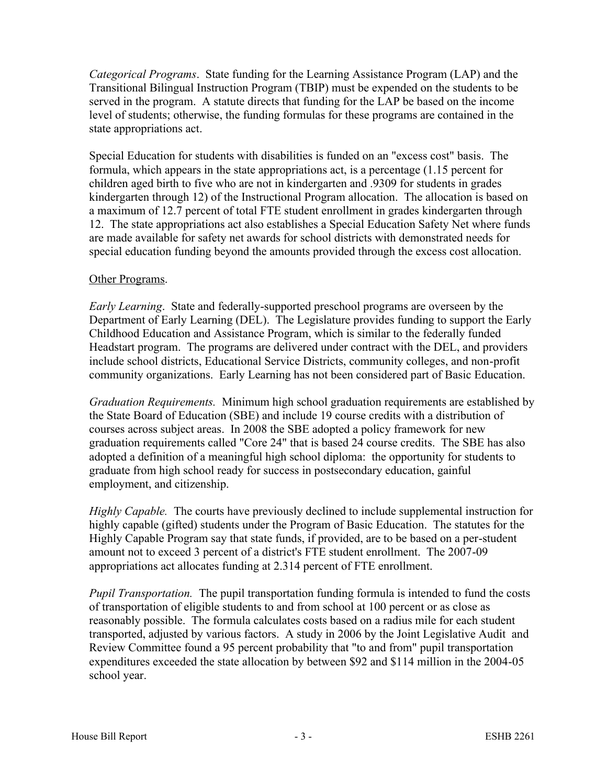*Categorical Programs*. State funding for the Learning Assistance Program (LAP) and the Transitional Bilingual Instruction Program (TBIP) must be expended on the students to be served in the program. A statute directs that funding for the LAP be based on the income level of students; otherwise, the funding formulas for these programs are contained in the state appropriations act.

Special Education for students with disabilities is funded on an "excess cost" basis. The formula, which appears in the state appropriations act, is a percentage (1.15 percent for children aged birth to five who are not in kindergarten and .9309 for students in grades kindergarten through 12) of the Instructional Program allocation. The allocation is based on a maximum of 12.7 percent of total FTE student enrollment in grades kindergarten through 12. The state appropriations act also establishes a Special Education Safety Net where funds are made available for safety net awards for school districts with demonstrated needs for special education funding beyond the amounts provided through the excess cost allocation.

### Other Programs.

*Early Learning*. State and federally-supported preschool programs are overseen by the Department of Early Learning (DEL). The Legislature provides funding to support the Early Childhood Education and Assistance Program, which is similar to the federally funded Headstart program. The programs are delivered under contract with the DEL, and providers include school districts, Educational Service Districts, community colleges, and non-profit community organizations. Early Learning has not been considered part of Basic Education.

*Graduation Requirements.* Minimum high school graduation requirements are established by the State Board of Education (SBE) and include 19 course credits with a distribution of courses across subject areas. In 2008 the SBE adopted a policy framework for new graduation requirements called "Core 24" that is based 24 course credits. The SBE has also adopted a definition of a meaningful high school diploma: the opportunity for students to graduate from high school ready for success in postsecondary education, gainful employment, and citizenship.

*Highly Capable.* The courts have previously declined to include supplemental instruction for highly capable (gifted) students under the Program of Basic Education. The statutes for the Highly Capable Program say that state funds, if provided, are to be based on a per-student amount not to exceed 3 percent of a district's FTE student enrollment. The 2007-09 appropriations act allocates funding at 2.314 percent of FTE enrollment.

*Pupil Transportation.* The pupil transportation funding formula is intended to fund the costs of transportation of eligible students to and from school at 100 percent or as close as reasonably possible. The formula calculates costs based on a radius mile for each student transported, adjusted by various factors. A study in 2006 by the Joint Legislative Audit and Review Committee found a 95 percent probability that "to and from" pupil transportation expenditures exceeded the state allocation by between \$92 and \$114 million in the 2004-05 school year.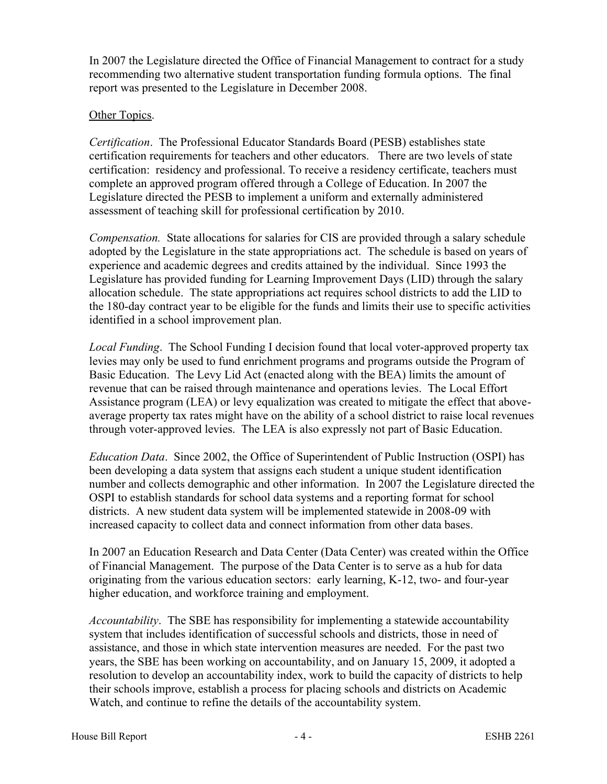In 2007 the Legislature directed the Office of Financial Management to contract for a study recommending two alternative student transportation funding formula options. The final report was presented to the Legislature in December 2008.

### Other Topics.

*Certification*. The Professional Educator Standards Board (PESB) establishes state certification requirements for teachers and other educators. There are two levels of state certification: residency and professional. To receive a residency certificate, teachers must complete an approved program offered through a College of Education. In 2007 the Legislature directed the PESB to implement a uniform and externally administered assessment of teaching skill for professional certification by 2010.

*Compensation.* State allocations for salaries for CIS are provided through a salary schedule adopted by the Legislature in the state appropriations act. The schedule is based on years of experience and academic degrees and credits attained by the individual. Since 1993 the Legislature has provided funding for Learning Improvement Days (LID) through the salary allocation schedule. The state appropriations act requires school districts to add the LID to the 180-day contract year to be eligible for the funds and limits their use to specific activities identified in a school improvement plan.

*Local Funding*. The School Funding I decision found that local voter-approved property tax levies may only be used to fund enrichment programs and programs outside the Program of Basic Education. The Levy Lid Act (enacted along with the BEA) limits the amount of revenue that can be raised through maintenance and operations levies. The Local Effort Assistance program (LEA) or levy equalization was created to mitigate the effect that aboveaverage property tax rates might have on the ability of a school district to raise local revenues through voter-approved levies. The LEA is also expressly not part of Basic Education.

*Education Data*. Since 2002, the Office of Superintendent of Public Instruction (OSPI) has been developing a data system that assigns each student a unique student identification number and collects demographic and other information. In 2007 the Legislature directed the OSPI to establish standards for school data systems and a reporting format for school districts. A new student data system will be implemented statewide in 2008-09 with increased capacity to collect data and connect information from other data bases.

In 2007 an Education Research and Data Center (Data Center) was created within the Office of Financial Management. The purpose of the Data Center is to serve as a hub for data originating from the various education sectors: early learning, K-12, two- and four-year higher education, and workforce training and employment.

*Accountability*. The SBE has responsibility for implementing a statewide accountability system that includes identification of successful schools and districts, those in need of assistance, and those in which state intervention measures are needed. For the past two years, the SBE has been working on accountability, and on January 15, 2009, it adopted a resolution to develop an accountability index, work to build the capacity of districts to help their schools improve, establish a process for placing schools and districts on Academic Watch, and continue to refine the details of the accountability system.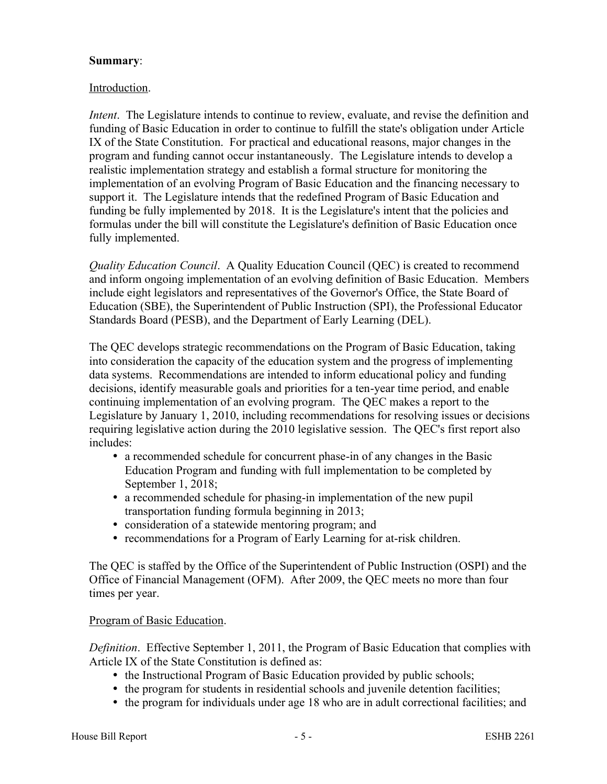### **Summary**:

### Introduction.

*Intent*. The Legislature intends to continue to review, evaluate, and revise the definition and funding of Basic Education in order to continue to fulfill the state's obligation under Article IX of the State Constitution. For practical and educational reasons, major changes in the program and funding cannot occur instantaneously. The Legislature intends to develop a realistic implementation strategy and establish a formal structure for monitoring the implementation of an evolving Program of Basic Education and the financing necessary to support it. The Legislature intends that the redefined Program of Basic Education and funding be fully implemented by 2018. It is the Legislature's intent that the policies and formulas under the bill will constitute the Legislature's definition of Basic Education once fully implemented.

*Quality Education Council*. A Quality Education Council (QEC) is created to recommend and inform ongoing implementation of an evolving definition of Basic Education. Members include eight legislators and representatives of the Governor's Office, the State Board of Education (SBE), the Superintendent of Public Instruction (SPI), the Professional Educator Standards Board (PESB), and the Department of Early Learning (DEL).

The QEC develops strategic recommendations on the Program of Basic Education, taking into consideration the capacity of the education system and the progress of implementing data systems. Recommendations are intended to inform educational policy and funding decisions, identify measurable goals and priorities for a ten-year time period, and enable continuing implementation of an evolving program. The QEC makes a report to the Legislature by January 1, 2010, including recommendations for resolving issues or decisions requiring legislative action during the 2010 legislative session. The QEC's first report also includes:

- a recommended schedule for concurrent phase-in of any changes in the Basic Education Program and funding with full implementation to be completed by September 1, 2018;
- � a recommended schedule for phasing-in implementation of the new pupil transportation funding formula beginning in 2013;
- consideration of a statewide mentoring program; and
- � recommendations for a Program of Early Learning for at-risk children.

The QEC is staffed by the Office of the Superintendent of Public Instruction (OSPI) and the Office of Financial Management (OFM). After 2009, the QEC meets no more than four times per year.

#### Program of Basic Education.

*Definition*. Effective September 1, 2011, the Program of Basic Education that complies with Article IX of the State Constitution is defined as:

- the Instructional Program of Basic Education provided by public schools;
- � the program for students in residential schools and juvenile detention facilities;
- � the program for individuals under age 18 who are in adult correctional facilities; and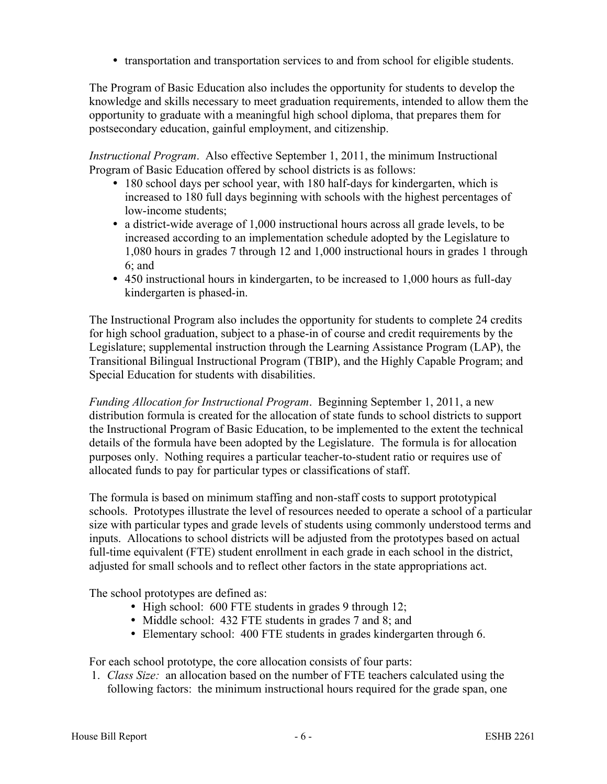� transportation and transportation services to and from school for eligible students.

The Program of Basic Education also includes the opportunity for students to develop the knowledge and skills necessary to meet graduation requirements, intended to allow them the opportunity to graduate with a meaningful high school diploma, that prepares them for postsecondary education, gainful employment, and citizenship.

*Instructional Program*. Also effective September 1, 2011, the minimum Instructional Program of Basic Education offered by school districts is as follows:

- 180 school days per school year, with 180 half-days for kindergarten, which is increased to 180 full days beginning with schools with the highest percentages of low-income students;
- � a district-wide average of 1,000 instructional hours across all grade levels, to be increased according to an implementation schedule adopted by the Legislature to 1,080 hours in grades 7 through 12 and 1,000 instructional hours in grades 1 through 6; and
- � 450 instructional hours in kindergarten, to be increased to 1,000 hours as full-day kindergarten is phased-in.

The Instructional Program also includes the opportunity for students to complete 24 credits for high school graduation, subject to a phase-in of course and credit requirements by the Legislature; supplemental instruction through the Learning Assistance Program (LAP), the Transitional Bilingual Instructional Program (TBIP), and the Highly Capable Program; and Special Education for students with disabilities.

*Funding Allocation for Instructional Program*. Beginning September 1, 2011, a new distribution formula is created for the allocation of state funds to school districts to support the Instructional Program of Basic Education, to be implemented to the extent the technical details of the formula have been adopted by the Legislature. The formula is for allocation purposes only. Nothing requires a particular teacher-to-student ratio or requires use of allocated funds to pay for particular types or classifications of staff.

The formula is based on minimum staffing and non-staff costs to support prototypical schools. Prototypes illustrate the level of resources needed to operate a school of a particular size with particular types and grade levels of students using commonly understood terms and inputs. Allocations to school districts will be adjusted from the prototypes based on actual full-time equivalent (FTE) student enrollment in each grade in each school in the district, adjusted for small schools and to reflect other factors in the state appropriations act.

The school prototypes are defined as:

- High school: 600 FTE students in grades 9 through 12;
- Middle school: 432 FTE students in grades 7 and 8; and
- � Elementary school: 400 FTE students in grades kindergarten through 6.

For each school prototype, the core allocation consists of four parts:

1. *Class Size:* an allocation based on the number of FTE teachers calculated using the following factors: the minimum instructional hours required for the grade span, one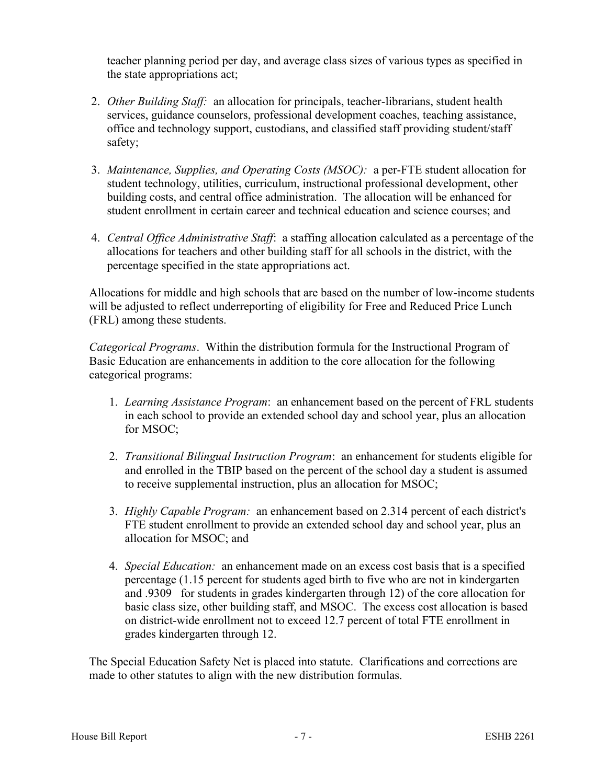teacher planning period per day, and average class sizes of various types as specified in the state appropriations act;

- 2. *Other Building Staff:* an allocation for principals, teacher-librarians, student health services, guidance counselors, professional development coaches, teaching assistance, office and technology support, custodians, and classified staff providing student/staff safety;
- 3. *Maintenance, Supplies, and Operating Costs (MSOC):* a per-FTE student allocation for student technology, utilities, curriculum, instructional professional development, other building costs, and central office administration. The allocation will be enhanced for student enrollment in certain career and technical education and science courses; and
- 4. *Central Office Administrative Staff*: a staffing allocation calculated as a percentage of the allocations for teachers and other building staff for all schools in the district, with the percentage specified in the state appropriations act.

Allocations for middle and high schools that are based on the number of low-income students will be adjusted to reflect underreporting of eligibility for Free and Reduced Price Lunch (FRL) among these students.

*Categorical Programs*. Within the distribution formula for the Instructional Program of Basic Education are enhancements in addition to the core allocation for the following categorical programs:

- 1. *Learning Assistance Program*: an enhancement based on the percent of FRL students in each school to provide an extended school day and school year, plus an allocation for MSOC;
- 2. *Transitional Bilingual Instruction Program*: an enhancement for students eligible for and enrolled in the TBIP based on the percent of the school day a student is assumed to receive supplemental instruction, plus an allocation for MSOC;
- 3. *Highly Capable Program:* an enhancement based on 2.314 percent of each district's FTE student enrollment to provide an extended school day and school year, plus an allocation for MSOC; and
- 4. *Special Education:* an enhancement made on an excess cost basis that is a specified percentage (1.15 percent for students aged birth to five who are not in kindergarten and .9309 for students in grades kindergarten through 12) of the core allocation for basic class size, other building staff, and MSOC. The excess cost allocation is based on district-wide enrollment not to exceed 12.7 percent of total FTE enrollment in grades kindergarten through 12.

The Special Education Safety Net is placed into statute. Clarifications and corrections are made to other statutes to align with the new distribution formulas.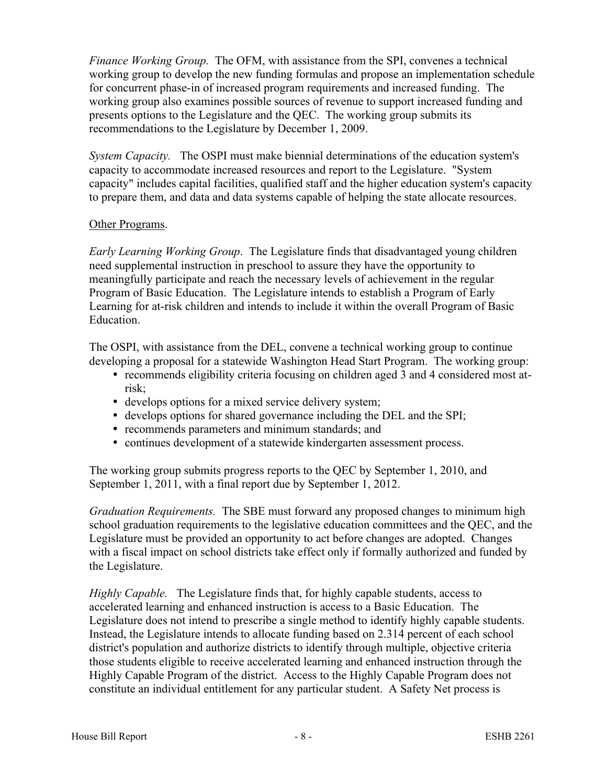*Finance Working Group.* The OFM, with assistance from the SPI, convenes a technical working group to develop the new funding formulas and propose an implementation schedule for concurrent phase-in of increased program requirements and increased funding. The working group also examines possible sources of revenue to support increased funding and presents options to the Legislature and the QEC. The working group submits its recommendations to the Legislature by December 1, 2009.

*System Capacity.* The OSPI must make biennial determinations of the education system's capacity to accommodate increased resources and report to the Legislature. "System capacity" includes capital facilities, qualified staff and the higher education system's capacity to prepare them, and data and data systems capable of helping the state allocate resources.

## Other Programs.

*Early Learning Working Group*. The Legislature finds that disadvantaged young children need supplemental instruction in preschool to assure they have the opportunity to meaningfully participate and reach the necessary levels of achievement in the regular Program of Basic Education. The Legislature intends to establish a Program of Early Learning for at-risk children and intends to include it within the overall Program of Basic Education.

The OSPI, with assistance from the DEL, convene a technical working group to continue developing a proposal for a statewide Washington Head Start Program. The working group:

- recommends eligibility criteria focusing on children aged 3 and 4 considered most atrisk;
- � develops options for a mixed service delivery system;
- � develops options for shared governance including the DEL and the SPI;
- � recommends parameters and minimum standards; and
- � continues development of a statewide kindergarten assessment process.

The working group submits progress reports to the QEC by September 1, 2010, and September 1, 2011, with a final report due by September 1, 2012.

*Graduation Requirements.* The SBE must forward any proposed changes to minimum high school graduation requirements to the legislative education committees and the QEC, and the Legislature must be provided an opportunity to act before changes are adopted. Changes with a fiscal impact on school districts take effect only if formally authorized and funded by the Legislature.

*Highly Capable.* The Legislature finds that, for highly capable students, access to accelerated learning and enhanced instruction is access to a Basic Education. The Legislature does not intend to prescribe a single method to identify highly capable students. Instead, the Legislature intends to allocate funding based on 2.314 percent of each school district's population and authorize districts to identify through multiple, objective criteria those students eligible to receive accelerated learning and enhanced instruction through the Highly Capable Program of the district. Access to the Highly Capable Program does not constitute an individual entitlement for any particular student. A Safety Net process is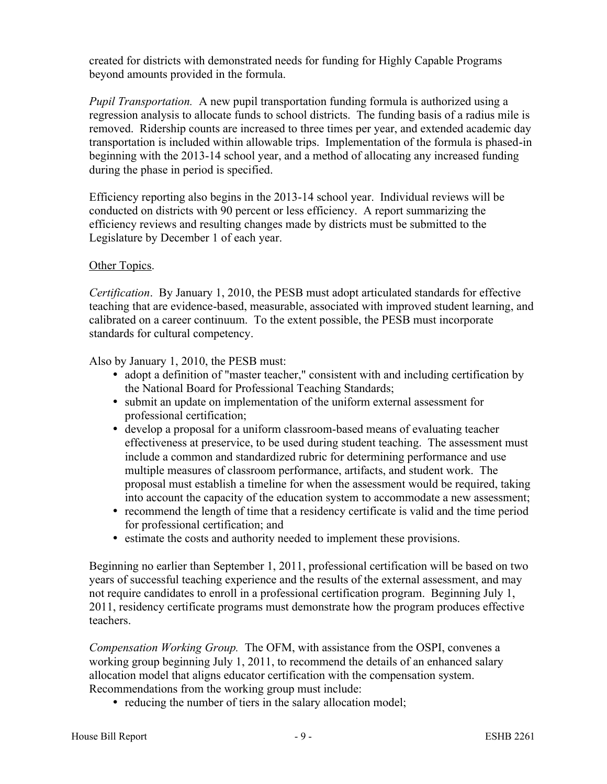created for districts with demonstrated needs for funding for Highly Capable Programs beyond amounts provided in the formula.

*Pupil Transportation.* A new pupil transportation funding formula is authorized using a regression analysis to allocate funds to school districts. The funding basis of a radius mile is removed. Ridership counts are increased to three times per year, and extended academic day transportation is included within allowable trips. Implementation of the formula is phased-in beginning with the 2013-14 school year, and a method of allocating any increased funding during the phase in period is specified.

Efficiency reporting also begins in the 2013-14 school year. Individual reviews will be conducted on districts with 90 percent or less efficiency. A report summarizing the efficiency reviews and resulting changes made by districts must be submitted to the Legislature by December 1 of each year.

### Other Topics.

*Certification*. By January 1, 2010, the PESB must adopt articulated standards for effective teaching that are evidence-based, measurable, associated with improved student learning, and calibrated on a career continuum. To the extent possible, the PESB must incorporate standards for cultural competency.

Also by January 1, 2010, the PESB must:

- adopt a definition of "master teacher," consistent with and including certification by the National Board for Professional Teaching Standards;
- submit an update on implementation of the uniform external assessment for professional certification;
- � develop a proposal for a uniform classroom-based means of evaluating teacher effectiveness at preservice, to be used during student teaching. The assessment must include a common and standardized rubric for determining performance and use multiple measures of classroom performance, artifacts, and student work. The proposal must establish a timeline for when the assessment would be required, taking into account the capacity of the education system to accommodate a new assessment;
- recommend the length of time that a residency certificate is valid and the time period for professional certification; and
- � estimate the costs and authority needed to implement these provisions.

Beginning no earlier than September 1, 2011, professional certification will be based on two years of successful teaching experience and the results of the external assessment, and may not require candidates to enroll in a professional certification program. Beginning July 1, 2011, residency certificate programs must demonstrate how the program produces effective teachers.

*Compensation Working Group.* The OFM, with assistance from the OSPI, convenes a working group beginning July 1, 2011, to recommend the details of an enhanced salary allocation model that aligns educator certification with the compensation system. Recommendations from the working group must include:

• reducing the number of tiers in the salary allocation model;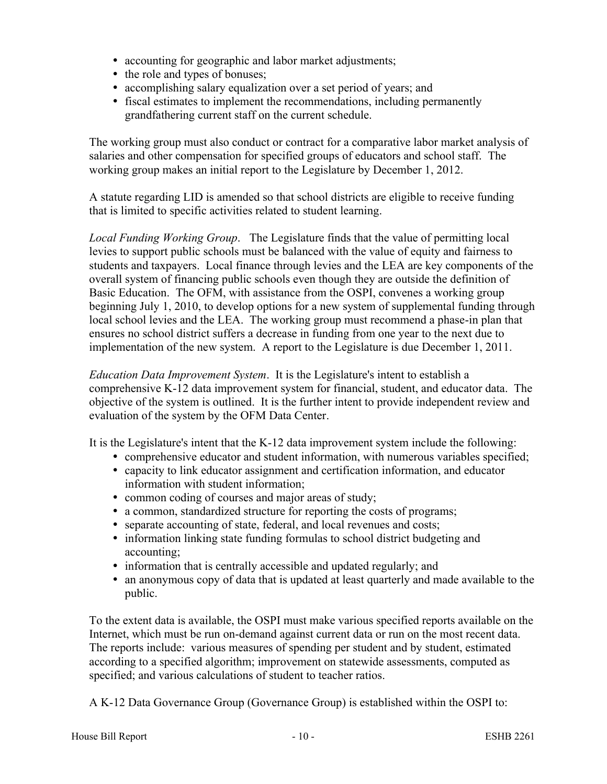- � accounting for geographic and labor market adjustments;
- the role and types of bonuses;
- � accomplishing salary equalization over a set period of years; and
- fiscal estimates to implement the recommendations, including permanently grandfathering current staff on the current schedule.

The working group must also conduct or contract for a comparative labor market analysis of salaries and other compensation for specified groups of educators and school staff. The working group makes an initial report to the Legislature by December 1, 2012.

A statute regarding LID is amended so that school districts are eligible to receive funding that is limited to specific activities related to student learning.

*Local Funding Working Group*. The Legislature finds that the value of permitting local levies to support public schools must be balanced with the value of equity and fairness to students and taxpayers. Local finance through levies and the LEA are key components of the overall system of financing public schools even though they are outside the definition of Basic Education. The OFM, with assistance from the OSPI, convenes a working group beginning July 1, 2010, to develop options for a new system of supplemental funding through local school levies and the LEA. The working group must recommend a phase-in plan that ensures no school district suffers a decrease in funding from one year to the next due to implementation of the new system. A report to the Legislature is due December 1, 2011.

*Education Data Improvement System*. It is the Legislature's intent to establish a comprehensive K-12 data improvement system for financial, student, and educator data. The objective of the system is outlined. It is the further intent to provide independent review and evaluation of the system by the OFM Data Center.

It is the Legislature's intent that the K-12 data improvement system include the following:

- � comprehensive educator and student information, with numerous variables specified;
- capacity to link educator assignment and certification information, and educator information with student information;
- � common coding of courses and major areas of study;
- � a common, standardized structure for reporting the costs of programs;
- � separate accounting of state, federal, and local revenues and costs;
- � information linking state funding formulas to school district budgeting and accounting;
- � information that is centrally accessible and updated regularly; and
- an anonymous copy of data that is updated at least quarterly and made available to the public.

To the extent data is available, the OSPI must make various specified reports available on the Internet, which must be run on-demand against current data or run on the most recent data. The reports include: various measures of spending per student and by student, estimated according to a specified algorithm; improvement on statewide assessments, computed as specified; and various calculations of student to teacher ratios.

A K-12 Data Governance Group (Governance Group) is established within the OSPI to: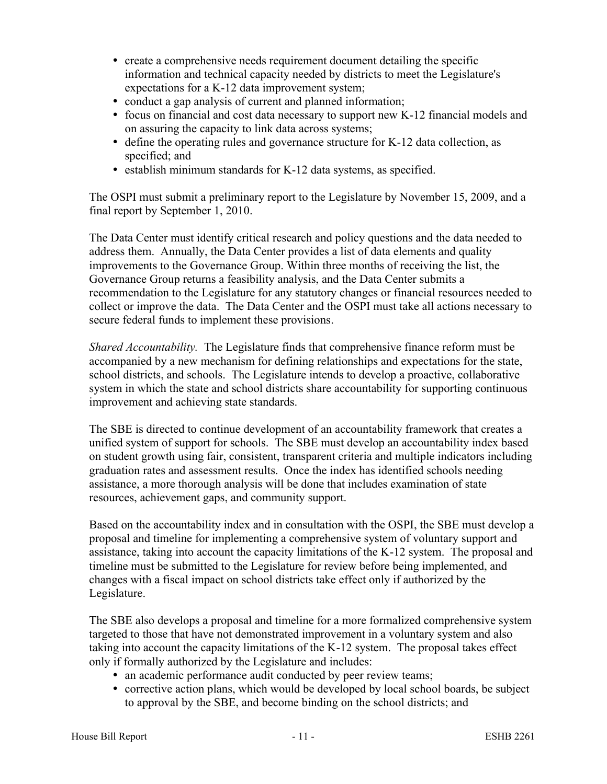- � create a comprehensive needs requirement document detailing the specific information and technical capacity needed by districts to meet the Legislature's expectations for a K-12 data improvement system;
- � conduct a gap analysis of current and planned information;
- � focus on financial and cost data necessary to support new K-12 financial models and on assuring the capacity to link data across systems;
- � define the operating rules and governance structure for K-12 data collection, as specified; and
- � establish minimum standards for K-12 data systems, as specified.

The OSPI must submit a preliminary report to the Legislature by November 15, 2009, and a final report by September 1, 2010.

The Data Center must identify critical research and policy questions and the data needed to address them. Annually, the Data Center provides a list of data elements and quality improvements to the Governance Group. Within three months of receiving the list, the Governance Group returns a feasibility analysis, and the Data Center submits a recommendation to the Legislature for any statutory changes or financial resources needed to collect or improve the data. The Data Center and the OSPI must take all actions necessary to secure federal funds to implement these provisions.

*Shared Accountability.* The Legislature finds that comprehensive finance reform must be accompanied by a new mechanism for defining relationships and expectations for the state, school districts, and schools. The Legislature intends to develop a proactive, collaborative system in which the state and school districts share accountability for supporting continuous improvement and achieving state standards.

The SBE is directed to continue development of an accountability framework that creates a unified system of support for schools. The SBE must develop an accountability index based on student growth using fair, consistent, transparent criteria and multiple indicators including graduation rates and assessment results. Once the index has identified schools needing assistance, a more thorough analysis will be done that includes examination of state resources, achievement gaps, and community support.

Based on the accountability index and in consultation with the OSPI, the SBE must develop a proposal and timeline for implementing a comprehensive system of voluntary support and assistance, taking into account the capacity limitations of the K-12 system. The proposal and timeline must be submitted to the Legislature for review before being implemented, and changes with a fiscal impact on school districts take effect only if authorized by the Legislature.

The SBE also develops a proposal and timeline for a more formalized comprehensive system targeted to those that have not demonstrated improvement in a voluntary system and also taking into account the capacity limitations of the K-12 system. The proposal takes effect only if formally authorized by the Legislature and includes:

- an academic performance audit conducted by peer review teams;
- corrective action plans, which would be developed by local school boards, be subject to approval by the SBE, and become binding on the school districts; and